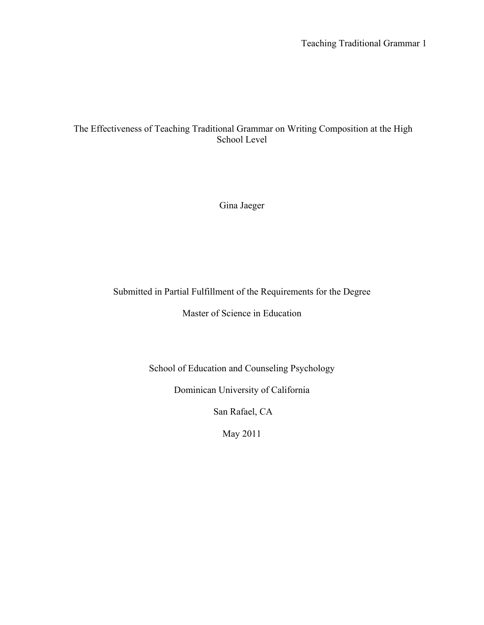Teaching Traditional Grammar 1

# The Effectiveness of Teaching Traditional Grammar on Writing Composition at the High School Level

Gina Jaeger

# Submitted in Partial Fulfillment of the Requirements for the Degree

Master of Science in Education

School of Education and Counseling Psychology

Dominican University of California

San Rafael, CA

May 2011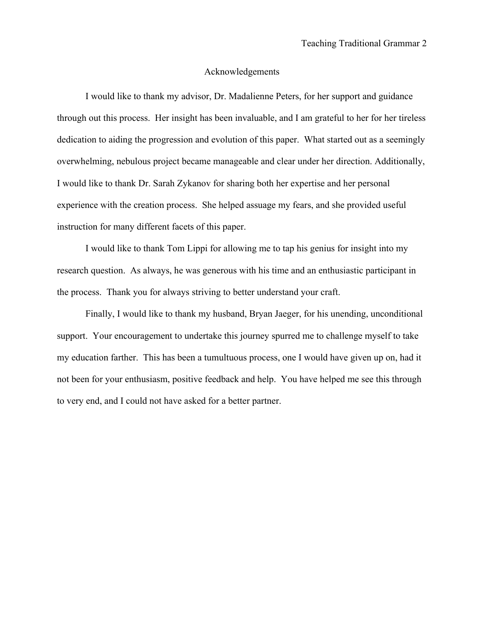#### Acknowledgements

I would like to thank my advisor, Dr. Madalienne Peters, for her support and guidance through out this process. Her insight has been invaluable, and I am grateful to her for her tireless dedication to aiding the progression and evolution of this paper. What started out as a seemingly overwhelming, nebulous project became manageable and clear under her direction. Additionally, I would like to thank Dr. Sarah Zykanov for sharing both her expertise and her personal experience with the creation process. She helped assuage my fears, and she provided useful instruction for many different facets of this paper.

I would like to thank Tom Lippi for allowing me to tap his genius for insight into my research question. As always, he was generous with his time and an enthusiastic participant in the process. Thank you for always striving to better understand your craft.

Finally, I would like to thank my husband, Bryan Jaeger, for his unending, unconditional support. Your encouragement to undertake this journey spurred me to challenge myself to take my education farther. This has been a tumultuous process, one I would have given up on, had it not been for your enthusiasm, positive feedback and help. You have helped me see this through to very end, and I could not have asked for a better partner.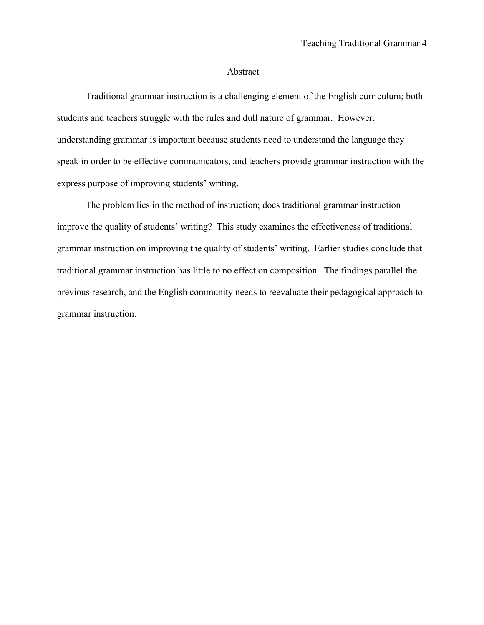#### Abstract

Traditional grammar instruction is a challenging element of the English curriculum; both students and teachers struggle with the rules and dull nature of grammar. However, understanding grammar is important because students need to understand the language they speak in order to be effective communicators, and teachers provide grammar instruction with the express purpose of improving students' writing.

The problem lies in the method of instruction; does traditional grammar instruction improve the quality of students' writing? This study examines the effectiveness of traditional grammar instruction on improving the quality of students' writing. Earlier studies conclude that traditional grammar instruction has little to no effect on composition.The findings parallel the previous research, and the English community needs to reevaluate their pedagogical approach to grammar instruction.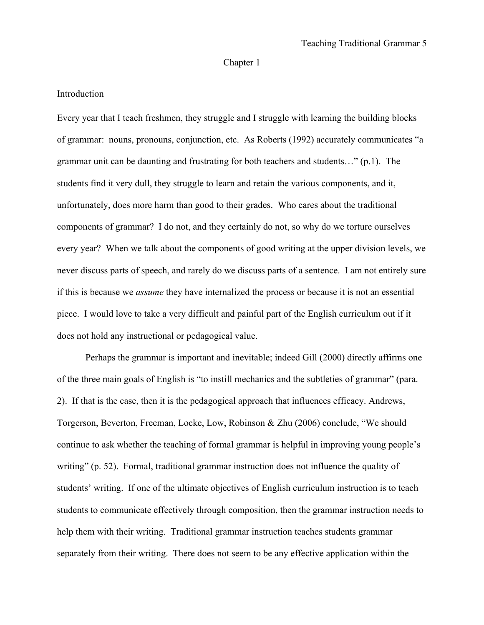# Chapter 1

# Introduction

Every year that I teach freshmen, they struggle and I struggle with learning the building blocks of grammar: nouns, pronouns, conjunction, etc. As Roberts (1992) accurately communicates "a grammar unit can be daunting and frustrating for both teachers and students…" (p.1). The students find it very dull, they struggle to learn and retain the various components, and it, unfortunately, does more harm than good to their grades. Who cares about the traditional components of grammar? I do not, and they certainly do not, so why do we torture ourselves every year? When we talk about the components of good writing at the upper division levels, we never discuss parts of speech, and rarely do we discuss parts of a sentence. I am not entirely sure if this is because we *assume* they have internalized the process or because it is not an essential piece. I would love to take a very difficult and painful part of the English curriculum out if it does not hold any instructional or pedagogical value.

Perhaps the grammar is important and inevitable; indeed Gill (2000) directly affirms one of the three main goals of English is "to instill mechanics and the subtleties of grammar" (para. 2). If that is the case, then it is the pedagogical approach that influences efficacy. Andrews, Torgerson, Beverton, Freeman, Locke, Low, Robinson & Zhu (2006) conclude, "We should continue to ask whether the teaching of formal grammar is helpful in improving young people's writing" (p. 52). Formal, traditional grammar instruction does not influence the quality of students' writing. If one of the ultimate objectives of English curriculum instruction is to teach students to communicate effectively through composition, then the grammar instruction needs to help them with their writing. Traditional grammar instruction teaches students grammar separately from their writing. There does not seem to be any effective application within the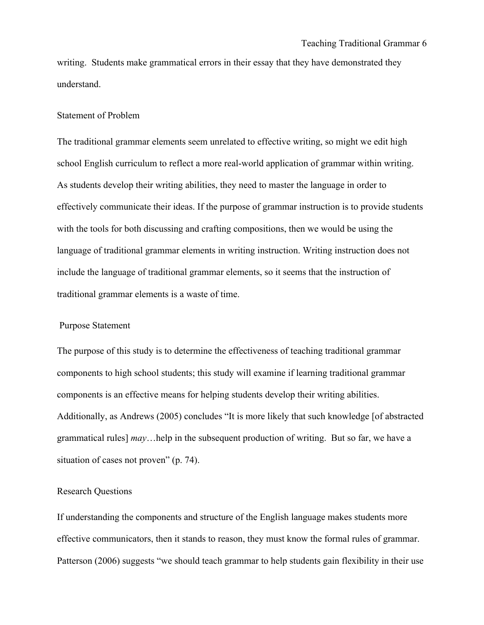writing. Students make grammatical errors in their essay that they have demonstrated they understand.

#### Statement of Problem

The traditional grammar elements seem unrelated to effective writing, so might we edit high school English curriculum to reflect a more real-world application of grammar within writing. As students develop their writing abilities, they need to master the language in order to effectively communicate their ideas. If the purpose of grammar instruction is to provide students with the tools for both discussing and crafting compositions, then we would be using the language of traditional grammar elements in writing instruction. Writing instruction does not include the language of traditional grammar elements, so it seems that the instruction of traditional grammar elements is a waste of time.

### Purpose Statement

The purpose of this study is to determine the effectiveness of teaching traditional grammar components to high school students; this study will examine if learning traditional grammar components is an effective means for helping students develop their writing abilities. Additionally, as Andrews (2005) concludes "It is more likely that such knowledge [of abstracted grammatical rules] *may*…help in the subsequent production of writing. But so far, we have a situation of cases not proven" (p. 74).

# Research Questions

If understanding the components and structure of the English language makes students more effective communicators, then it stands to reason, they must know the formal rules of grammar. Patterson (2006) suggests "we should teach grammar to help students gain flexibility in their use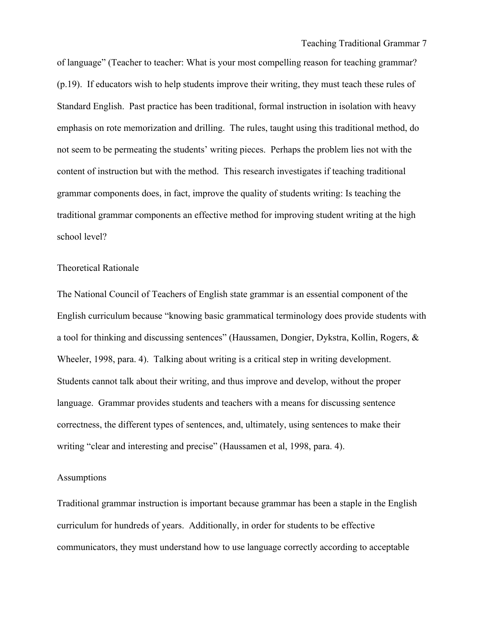Teaching Traditional Grammar 7

of language" (Teacher to teacher: What is your most compelling reason for teaching grammar? (p.19). If educators wish to help students improve their writing, they must teach these rules of Standard English. Past practice has been traditional, formal instruction in isolation with heavy emphasis on rote memorization and drilling. The rules, taught using this traditional method, do not seem to be permeating the students' writing pieces. Perhaps the problem lies not with the content of instruction but with the method. This research investigates if teaching traditional grammar components does, in fact, improve the quality of students writing: Is teaching the traditional grammar components an effective method for improving student writing at the high school level?

#### Theoretical Rationale

The National Council of Teachers of English state grammar is an essential component of the English curriculum because "knowing basic grammatical terminology does provide students with a tool for thinking and discussing sentences" (Haussamen, Dongier, Dykstra, Kollin, Rogers, & Wheeler, 1998, para. 4). Talking about writing is a critical step in writing development. Students cannot talk about their writing, and thus improve and develop, without the proper language. Grammar provides students and teachers with a means for discussing sentence correctness, the different types of sentences, and, ultimately, using sentences to make their writing "clear and interesting and precise" (Haussamen et al, 1998, para. 4).

# Assumptions

Traditional grammar instruction is important because grammar has been a staple in the English curriculum for hundreds of years. Additionally, in order for students to be effective communicators, they must understand how to use language correctly according to acceptable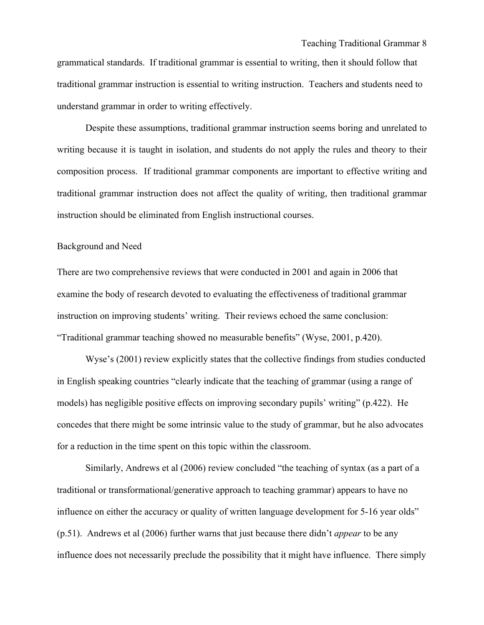grammatical standards. If traditional grammar is essential to writing, then it should follow that traditional grammar instruction is essential to writing instruction. Teachers and students need to understand grammar in order to writing effectively.

Despite these assumptions, traditional grammar instruction seems boring and unrelated to writing because it is taught in isolation, and students do not apply the rules and theory to their composition process. If traditional grammar components are important to effective writing and traditional grammar instruction does not affect the quality of writing, then traditional grammar instruction should be eliminated from English instructional courses.

#### Background and Need

There are two comprehensive reviews that were conducted in 2001 and again in 2006 that examine the body of research devoted to evaluating the effectiveness of traditional grammar instruction on improving students' writing. Their reviews echoed the same conclusion: "Traditional grammar teaching showed no measurable benefits" (Wyse, 2001, p.420).

Wyse's (2001) review explicitly states that the collective findings from studies conducted in English speaking countries "clearly indicate that the teaching of grammar (using a range of models) has negligible positive effects on improving secondary pupils' writing" (p.422). He concedes that there might be some intrinsic value to the study of grammar, but he also advocates for a reduction in the time spent on this topic within the classroom.

Similarly, Andrews et al (2006) review concluded "the teaching of syntax (as a part of a traditional or transformational/generative approach to teaching grammar) appears to have no influence on either the accuracy or quality of written language development for 5-16 year olds" (p.51). Andrews et al (2006) further warns that just because there didn't *appear* to be any influence does not necessarily preclude the possibility that it might have influence. There simply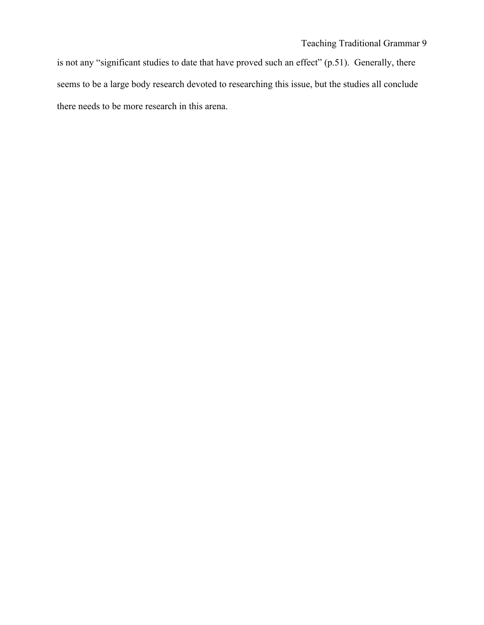is not any "significant studies to date that have proved such an effect" (p.51). Generally, there seems to be a large body research devoted to researching this issue, but the studies all conclude there needs to be more research in this arena.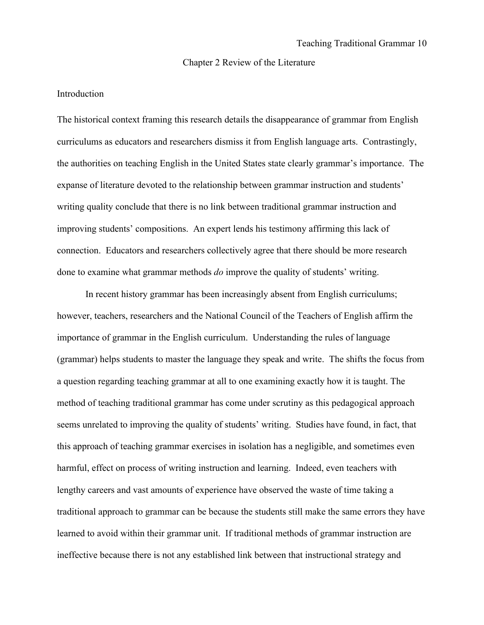#### Chapter 2 Review of the Literature

#### Introduction

The historical context framing this research details the disappearance of grammar from English curriculums as educators and researchers dismiss it from English language arts. Contrastingly, the authorities on teaching English in the United States state clearly grammar's importance. The expanse of literature devoted to the relationship between grammar instruction and students' writing quality conclude that there is no link between traditional grammar instruction and improving students' compositions. An expert lends his testimony affirming this lack of connection. Educators and researchers collectively agree that there should be more research done to examine what grammar methods *do* improve the quality of students' writing.

In recent history grammar has been increasingly absent from English curriculums; however, teachers, researchers and the National Council of the Teachers of English affirm the importance of grammar in the English curriculum. Understanding the rules of language (grammar) helps students to master the language they speak and write. The shifts the focus from a question regarding teaching grammar at all to one examining exactly how it is taught. The method of teaching traditional grammar has come under scrutiny as this pedagogical approach seems unrelated to improving the quality of students' writing. Studies have found, in fact, that this approach of teaching grammar exercises in isolation has a negligible, and sometimes even harmful, effect on process of writing instruction and learning. Indeed, even teachers with lengthy careers and vast amounts of experience have observed the waste of time taking a traditional approach to grammar can be because the students still make the same errors they have learned to avoid within their grammar unit. If traditional methods of grammar instruction are ineffective because there is not any established link between that instructional strategy and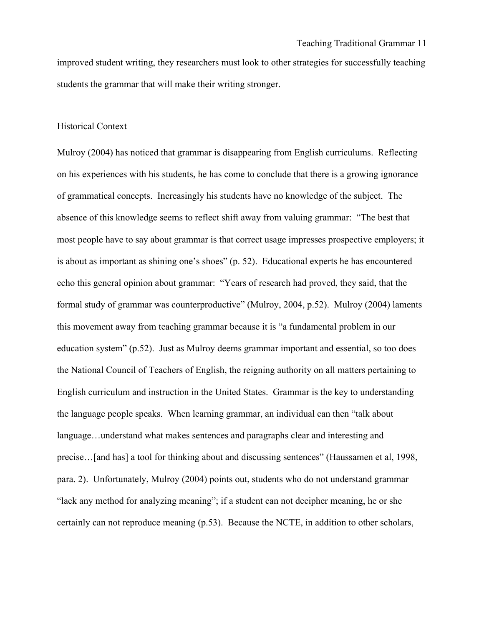improved student writing, they researchers must look to other strategies for successfully teaching students the grammar that will make their writing stronger.

## Historical Context

Mulroy (2004) has noticed that grammar is disappearing from English curriculums. Reflecting on his experiences with his students, he has come to conclude that there is a growing ignorance of grammatical concepts. Increasingly his students have no knowledge of the subject. The absence of this knowledge seems to reflect shift away from valuing grammar: "The best that most people have to say about grammar is that correct usage impresses prospective employers; it is about as important as shining one's shoes" (p. 52). Educational experts he has encountered echo this general opinion about grammar: "Years of research had proved, they said, that the formal study of grammar was counterproductive" (Mulroy, 2004, p.52). Mulroy (2004) laments this movement away from teaching grammar because it is "a fundamental problem in our education system" (p.52). Just as Mulroy deems grammar important and essential, so too does the National Council of Teachers of English, the reigning authority on all matters pertaining to English curriculum and instruction in the United States. Grammar is the key to understanding the language people speaks. When learning grammar, an individual can then "talk about language…understand what makes sentences and paragraphs clear and interesting and precise…[and has] a tool for thinking about and discussing sentences" (Haussamen et al, 1998, para. 2). Unfortunately, Mulroy (2004) points out, students who do not understand grammar "lack any method for analyzing meaning"; if a student can not decipher meaning, he or she certainly can not reproduce meaning (p.53). Because the NCTE, in addition to other scholars,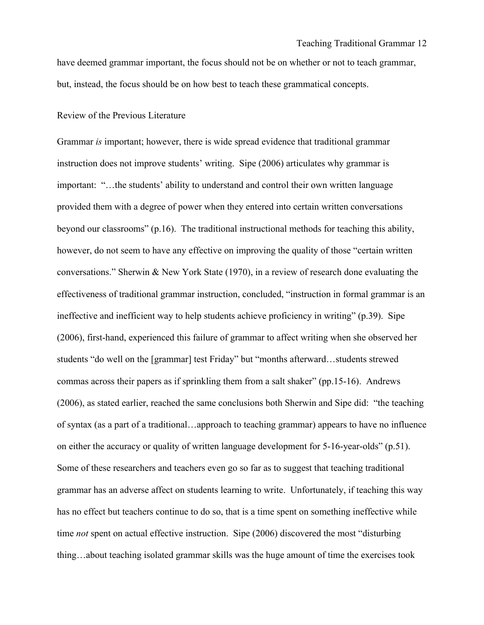have deemed grammar important, the focus should not be on whether or not to teach grammar, but, instead, the focus should be on how best to teach these grammatical concepts.

#### Review of the Previous Literature

Grammar *is* important; however, there is wide spread evidence that traditional grammar instruction does not improve students' writing. Sipe (2006) articulates why grammar is important: "…the students' ability to understand and control their own written language provided them with a degree of power when they entered into certain written conversations beyond our classrooms" (p.16). The traditional instructional methods for teaching this ability, however, do not seem to have any effective on improving the quality of those "certain written" conversations." Sherwin & New York State (1970), in a review of research done evaluating the effectiveness of traditional grammar instruction, concluded, "instruction in formal grammar is an ineffective and inefficient way to help students achieve proficiency in writing" (p.39). Sipe (2006), first-hand, experienced this failure of grammar to affect writing when she observed her students "do well on the [grammar] test Friday" but "months afterward…students strewed commas across their papers as if sprinkling them from a salt shaker" (pp.15-16). Andrews (2006), as stated earlier, reached the same conclusions both Sherwin and Sipe did: "the teaching of syntax (as a part of a traditional…approach to teaching grammar) appears to have no influence on either the accuracy or quality of written language development for 5-16-year-olds" (p.51). Some of these researchers and teachers even go so far as to suggest that teaching traditional grammar has an adverse affect on students learning to write. Unfortunately, if teaching this way has no effect but teachers continue to do so, that is a time spent on something ineffective while time *not* spent on actual effective instruction. Sipe (2006) discovered the most "disturbing thing…about teaching isolated grammar skills was the huge amount of time the exercises took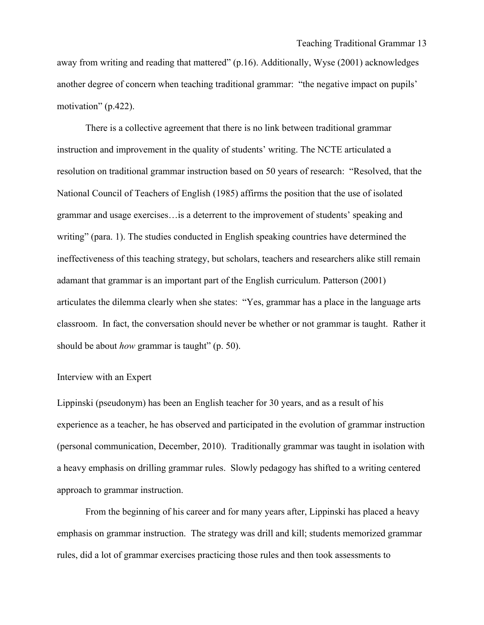away from writing and reading that mattered" (p.16). Additionally, Wyse (2001) acknowledges another degree of concern when teaching traditional grammar: "the negative impact on pupils' motivation" (p.422).

There is a collective agreement that there is no link between traditional grammar instruction and improvement in the quality of students' writing. The NCTE articulated a resolution on traditional grammar instruction based on 50 years of research: "Resolved, that the National Council of Teachers of English (1985) affirms the position that the use of isolated grammar and usage exercises…is a deterrent to the improvement of students' speaking and writing" (para. 1). The studies conducted in English speaking countries have determined the ineffectiveness of this teaching strategy, but scholars, teachers and researchers alike still remain adamant that grammar is an important part of the English curriculum. Patterson (2001) articulates the dilemma clearly when she states: "Yes, grammar has a place in the language arts classroom. In fact, the conversation should never be whether or not grammar is taught. Rather it should be about *how* grammar is taught" (p. 50).

#### Interview with an Expert

Lippinski (pseudonym) has been an English teacher for 30 years, and as a result of his experience as a teacher, he has observed and participated in the evolution of grammar instruction (personal communication, December, 2010). Traditionally grammar was taught in isolation with a heavy emphasis on drilling grammar rules. Slowly pedagogy has shifted to a writing centered approach to grammar instruction.

From the beginning of his career and for many years after, Lippinski has placed a heavy emphasis on grammar instruction. The strategy was drill and kill; students memorized grammar rules, did a lot of grammar exercises practicing those rules and then took assessments to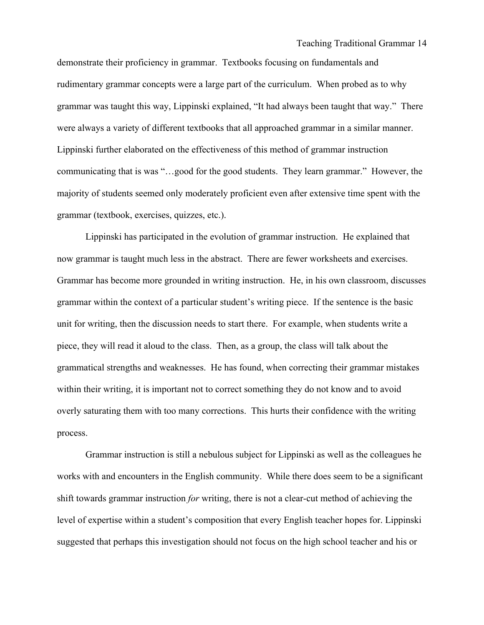demonstrate their proficiency in grammar. Textbooks focusing on fundamentals and rudimentary grammar concepts were a large part of the curriculum. When probed as to why grammar was taught this way, Lippinski explained, "It had always been taught that way." There were always a variety of different textbooks that all approached grammar in a similar manner. Lippinski further elaborated on the effectiveness of this method of grammar instruction communicating that is was "…good for the good students. They learn grammar." However, the majority of students seemed only moderately proficient even after extensive time spent with the grammar (textbook, exercises, quizzes, etc.).

Lippinski has participated in the evolution of grammar instruction. He explained that now grammar is taught much less in the abstract. There are fewer worksheets and exercises. Grammar has become more grounded in writing instruction. He, in his own classroom, discusses grammar within the context of a particular student's writing piece. If the sentence is the basic unit for writing, then the discussion needs to start there. For example, when students write a piece, they will read it aloud to the class. Then, as a group, the class will talk about the grammatical strengths and weaknesses. He has found, when correcting their grammar mistakes within their writing, it is important not to correct something they do not know and to avoid overly saturating them with too many corrections. This hurts their confidence with the writing process.

Grammar instruction is still a nebulous subject for Lippinski as well as the colleagues he works with and encounters in the English community. While there does seem to be a significant shift towards grammar instruction *for* writing, there is not a clear-cut method of achieving the level of expertise within a student's composition that every English teacher hopes for. Lippinski suggested that perhaps this investigation should not focus on the high school teacher and his or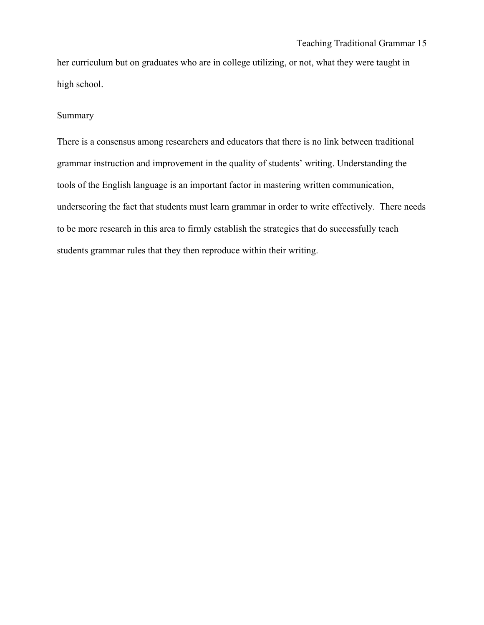her curriculum but on graduates who are in college utilizing, or not, what they were taught in high school.

# Summary

There is a consensus among researchers and educators that there is no link between traditional grammar instruction and improvement in the quality of students' writing. Understanding the tools of the English language is an important factor in mastering written communication, underscoring the fact that students must learn grammar in order to write effectively. There needs to be more research in this area to firmly establish the strategies that do successfully teach students grammar rules that they then reproduce within their writing.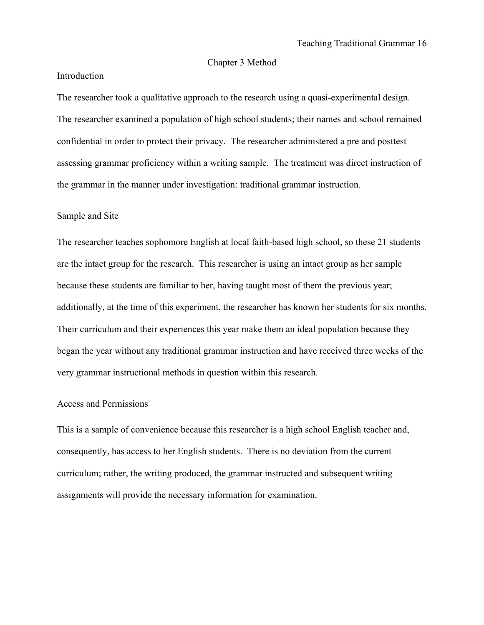#### Chapter 3 Method

# Introduction

The researcher took a qualitative approach to the research using a quasi-experimental design. The researcher examined a population of high school students; their names and school remained confidential in order to protect their privacy. The researcher administered a pre and posttest assessing grammar proficiency within a writing sample. The treatment was direct instruction of the grammar in the manner under investigation: traditional grammar instruction.

#### Sample and Site

The researcher teaches sophomore English at local faith-based high school, so these 21 students are the intact group for the research. This researcher is using an intact group as her sample because these students are familiar to her, having taught most of them the previous year; additionally, at the time of this experiment, the researcher has known her students for six months. Their curriculum and their experiences this year make them an ideal population because they began the year without any traditional grammar instruction and have received three weeks of the very grammar instructional methods in question within this research.

### Access and Permissions

This is a sample of convenience because this researcher is a high school English teacher and, consequently, has access to her English students. There is no deviation from the current curriculum; rather, the writing produced, the grammar instructed and subsequent writing assignments will provide the necessary information for examination.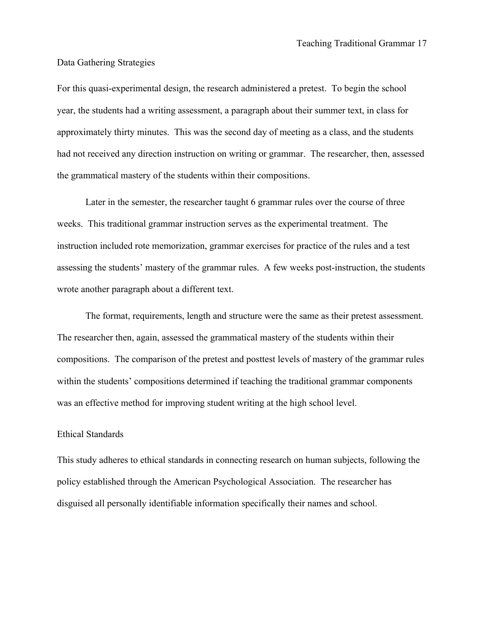#### Data Gathering Strategies

For this quasi-experimental design, the research administered a pretest. To begin the school year, the students had a writing assessment, a paragraph about their summer text, in class for approximately thirty minutes. This was the second day of meeting as a class, and the students had not received any direction instruction on writing or grammar. The researcher, then, assessed the grammatical mastery of the students within their compositions.

Later in the semester, the researcher taught 6 grammar rules over the course of three weeks. This traditional grammar instruction serves as the experimental treatment. The instruction included rote memorization, grammar exercises for practice of the rules and a test assessing the students' mastery of the grammar rules. A few weeks post-instruction, the students wrote another paragraph about a different text.

The format, requirements, length and structure were the same as their pretest assessment. The researcher then, again, assessed the grammatical mastery of the students within their compositions. The comparison of the pretest and posttest levels of mastery of the grammar rules within the students' compositions determined if teaching the traditional grammar components was an effective method for improving student writing at the high school level.

## Ethical Standards

This study adheres to ethical standards in connecting research on human subjects, following the policy established through the American Psychological Association. The researcher has disguised all personally identifiable information specifically their names and school.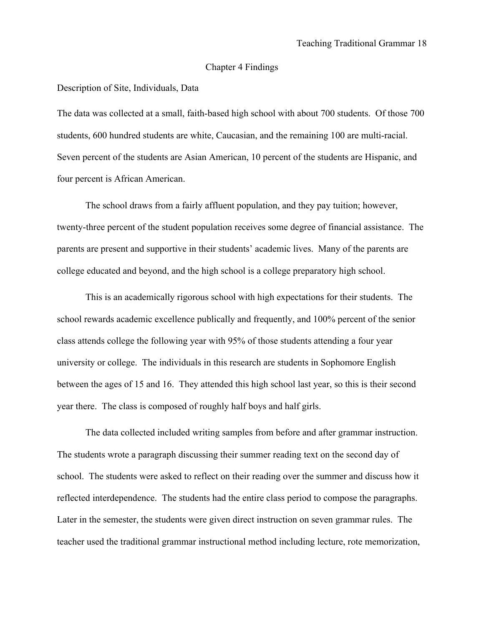#### Chapter 4 Findings

Description of Site, Individuals, Data

The data was collected at a small, faith-based high school with about 700 students. Of those 700 students, 600 hundred students are white, Caucasian, and the remaining 100 are multi-racial. Seven percent of the students are Asian American, 10 percent of the students are Hispanic, and four percent is African American.

The school draws from a fairly affluent population, and they pay tuition; however, twenty-three percent of the student population receives some degree of financial assistance. The parents are present and supportive in their students' academic lives. Many of the parents are college educated and beyond, and the high school is a college preparatory high school.

This is an academically rigorous school with high expectations for their students. The school rewards academic excellence publically and frequently, and 100% percent of the senior class attends college the following year with 95% of those students attending a four year university or college. The individuals in this research are students in Sophomore English between the ages of 15 and 16. They attended this high school last year, so this is their second year there. The class is composed of roughly half boys and half girls.

The data collected included writing samples from before and after grammar instruction. The students wrote a paragraph discussing their summer reading text on the second day of school. The students were asked to reflect on their reading over the summer and discuss how it reflected interdependence. The students had the entire class period to compose the paragraphs. Later in the semester, the students were given direct instruction on seven grammar rules. The teacher used the traditional grammar instructional method including lecture, rote memorization,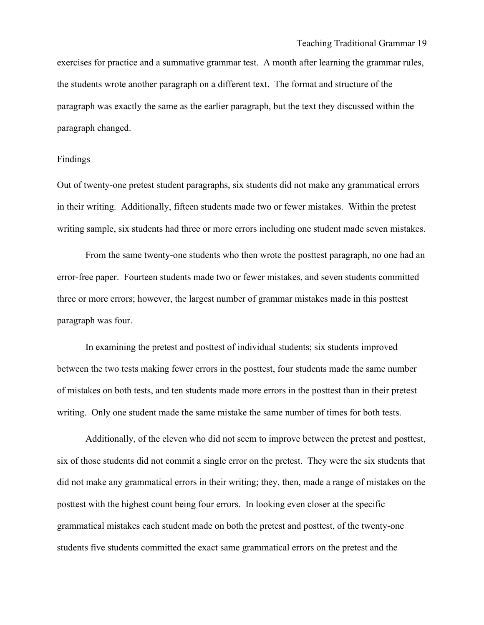exercises for practice and a summative grammar test. A month after learning the grammar rules, the students wrote another paragraph on a different text. The format and structure of the paragraph was exactly the same as the earlier paragraph, but the text they discussed within the paragraph changed.

#### Findings

Out of twenty-one pretest student paragraphs, six students did not make any grammatical errors in their writing. Additionally, fifteen students made two or fewer mistakes. Within the pretest writing sample, six students had three or more errors including one student made seven mistakes.

From the same twenty-one students who then wrote the posttest paragraph, no one had an error-free paper. Fourteen students made two or fewer mistakes, and seven students committed three or more errors; however, the largest number of grammar mistakes made in this posttest paragraph was four.

In examining the pretest and posttest of individual students; six students improved between the two tests making fewer errors in the posttest, four students made the same number of mistakes on both tests, and ten students made more errors in the posttest than in their pretest writing. Only one student made the same mistake the same number of times for both tests.

Additionally, of the eleven who did not seem to improve between the pretest and posttest, six of those students did not commit a single error on the pretest. They were the six students that did not make any grammatical errors in their writing; they, then, made a range of mistakes on the posttest with the highest count being four errors. In looking even closer at the specific grammatical mistakes each student made on both the pretest and posttest, of the twenty-one students five students committed the exact same grammatical errors on the pretest and the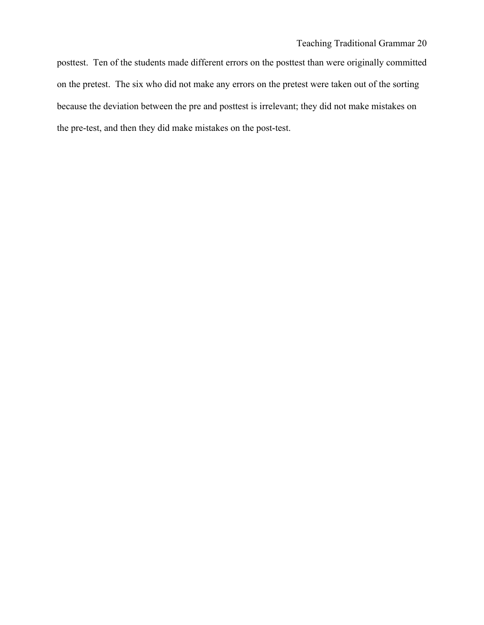posttest. Ten of the students made different errors on the posttest than were originally committed on the pretest. The six who did not make any errors on the pretest were taken out of the sorting because the deviation between the pre and posttest is irrelevant; they did not make mistakes on the pre-test, and then they did make mistakes on the post-test.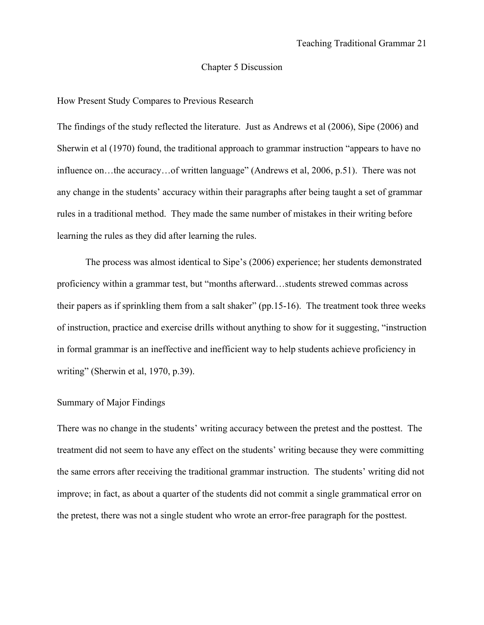# Chapter 5 Discussion

### How Present Study Compares to Previous Research

The findings of the study reflected the literature. Just as Andrews et al (2006), Sipe (2006) and Sherwin et al (1970) found, the traditional approach to grammar instruction "appears to have no influence on…the accuracy…of written language" (Andrews et al, 2006, p.51). There was not any change in the students' accuracy within their paragraphs after being taught a set of grammar rules in a traditional method. They made the same number of mistakes in their writing before learning the rules as they did after learning the rules.

The process was almost identical to Sipe's (2006) experience; her students demonstrated proficiency within a grammar test, but "months afterward…students strewed commas across their papers as if sprinkling them from a salt shaker" (pp.15-16). The treatment took three weeks of instruction, practice and exercise drills without anything to show for it suggesting, "instruction in formal grammar is an ineffective and inefficient way to help students achieve proficiency in writing" (Sherwin et al, 1970, p.39).

#### Summary of Major Findings

There was no change in the students' writing accuracy between the pretest and the posttest. The treatment did not seem to have any effect on the students' writing because they were committing the same errors after receiving the traditional grammar instruction. The students' writing did not improve; in fact, as about a quarter of the students did not commit a single grammatical error on the pretest, there was not a single student who wrote an error-free paragraph for the posttest.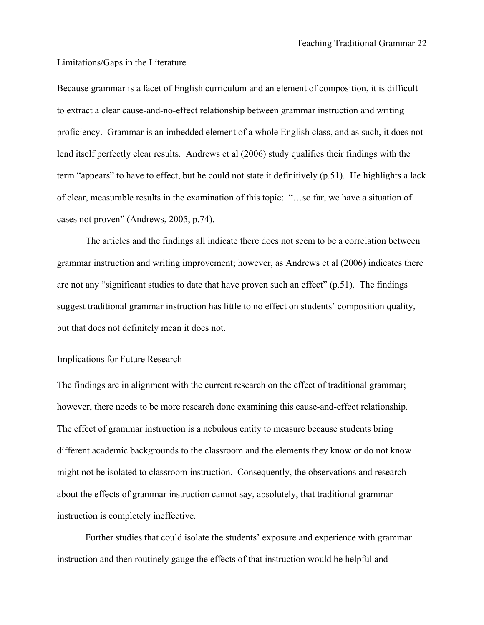#### Limitations/Gaps in the Literature

Because grammar is a facet of English curriculum and an element of composition, it is difficult to extract a clear cause-and-no-effect relationship between grammar instruction and writing proficiency. Grammar is an imbedded element of a whole English class, and as such, it does not lend itself perfectly clear results. Andrews et al (2006) study qualifies their findings with the term "appears" to have to effect, but he could not state it definitively (p.51). He highlights a lack of clear, measurable results in the examination of this topic: "…so far, we have a situation of cases not proven" (Andrews, 2005, p.74).

The articles and the findings all indicate there does not seem to be a correlation between grammar instruction and writing improvement; however, as Andrews et al (2006) indicates there are not any "significant studies to date that have proven such an effect" (p.51). The findings suggest traditional grammar instruction has little to no effect on students' composition quality, but that does not definitely mean it does not.

#### Implications for Future Research

The findings are in alignment with the current research on the effect of traditional grammar; however, there needs to be more research done examining this cause-and-effect relationship. The effect of grammar instruction is a nebulous entity to measure because students bring different academic backgrounds to the classroom and the elements they know or do not know might not be isolated to classroom instruction. Consequently, the observations and research about the effects of grammar instruction cannot say, absolutely, that traditional grammar instruction is completely ineffective.

Further studies that could isolate the students' exposure and experience with grammar instruction and then routinely gauge the effects of that instruction would be helpful and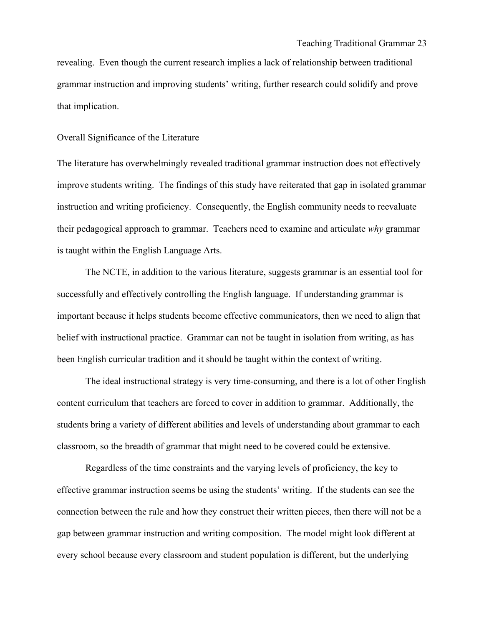revealing. Even though the current research implies a lack of relationship between traditional grammar instruction and improving students' writing, further research could solidify and prove that implication.

# Overall Significance of the Literature

The literature has overwhelmingly revealed traditional grammar instruction does not effectively improve students writing. The findings of this study have reiterated that gap in isolated grammar instruction and writing proficiency. Consequently, the English community needs to reevaluate their pedagogical approach to grammar. Teachers need to examine and articulate *why* grammar is taught within the English Language Arts.

The NCTE, in addition to the various literature, suggests grammar is an essential tool for successfully and effectively controlling the English language. If understanding grammar is important because it helps students become effective communicators, then we need to align that belief with instructional practice. Grammar can not be taught in isolation from writing, as has been English curricular tradition and it should be taught within the context of writing.

The ideal instructional strategy is very time-consuming, and there is a lot of other English content curriculum that teachers are forced to cover in addition to grammar. Additionally, the students bring a variety of different abilities and levels of understanding about grammar to each classroom, so the breadth of grammar that might need to be covered could be extensive.

Regardless of the time constraints and the varying levels of proficiency, the key to effective grammar instruction seems be using the students' writing. If the students can see the connection between the rule and how they construct their written pieces, then there will not be a gap between grammar instruction and writing composition. The model might look different at every school because every classroom and student population is different, but the underlying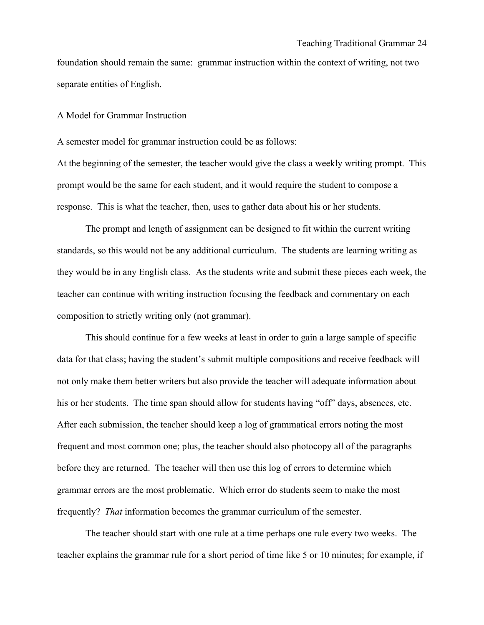foundation should remain the same: grammar instruction within the context of writing, not two separate entities of English.

A Model for Grammar Instruction

A semester model for grammar instruction could be as follows:

At the beginning of the semester, the teacher would give the class a weekly writing prompt. This prompt would be the same for each student, and it would require the student to compose a response. This is what the teacher, then, uses to gather data about his or her students.

The prompt and length of assignment can be designed to fit within the current writing standards, so this would not be any additional curriculum. The students are learning writing as they would be in any English class. As the students write and submit these pieces each week, the teacher can continue with writing instruction focusing the feedback and commentary on each composition to strictly writing only (not grammar).

This should continue for a few weeks at least in order to gain a large sample of specific data for that class; having the student's submit multiple compositions and receive feedback will not only make them better writers but also provide the teacher will adequate information about his or her students. The time span should allow for students having "off" days, absences, etc. After each submission, the teacher should keep a log of grammatical errors noting the most frequent and most common one; plus, the teacher should also photocopy all of the paragraphs before they are returned. The teacher will then use this log of errors to determine which grammar errors are the most problematic. Which error do students seem to make the most frequently? *That* information becomes the grammar curriculum of the semester.

The teacher should start with one rule at a time perhaps one rule every two weeks. The teacher explains the grammar rule for a short period of time like 5 or 10 minutes; for example, if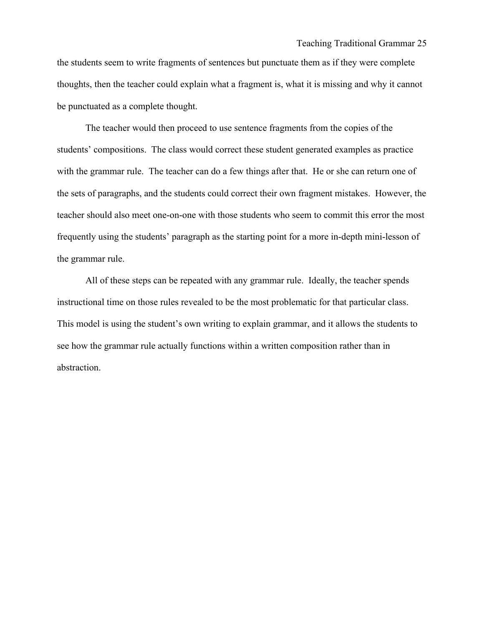the students seem to write fragments of sentences but punctuate them as if they were complete thoughts, then the teacher could explain what a fragment is, what it is missing and why it cannot be punctuated as a complete thought.

The teacher would then proceed to use sentence fragments from the copies of the students' compositions. The class would correct these student generated examples as practice with the grammar rule. The teacher can do a few things after that. He or she can return one of the sets of paragraphs, and the students could correct their own fragment mistakes. However, the teacher should also meet one-on-one with those students who seem to commit this error the most frequently using the students' paragraph as the starting point for a more in-depth mini-lesson of the grammar rule.

All of these steps can be repeated with any grammar rule. Ideally, the teacher spends instructional time on those rules revealed to be the most problematic for that particular class. This model is using the student's own writing to explain grammar, and it allows the students to see how the grammar rule actually functions within a written composition rather than in abstraction.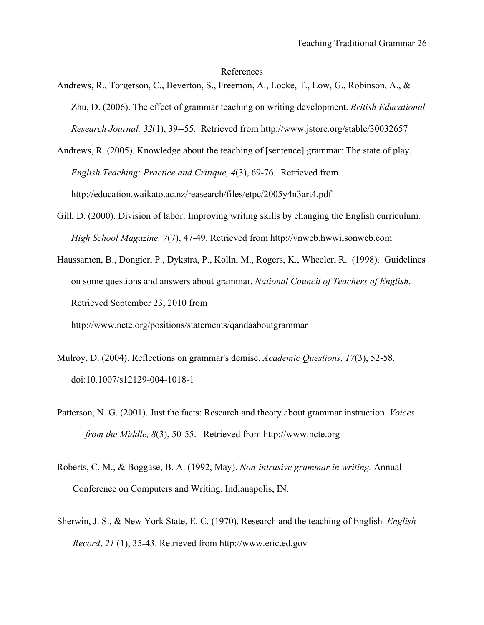#### References

- Andrews, R., Torgerson, C., Beverton, S., Freemon, A., Locke, T., Low, G., Robinson, A., & Zhu, D. (2006). The effect of grammar teaching on writing development. *British Educational Research Journal, 32*(1), 39--55. Retrieved from http://www.jstore.org/stable/30032657
- Andrews, R. (2005). Knowledge about the teaching of [sentence] grammar: The state of play. *English Teaching: Practice and Critique, 4*(3), 69-76. Retrieved from http://education.waikato.ac.nz/reasearch/files/etpc/2005y4n3art4.pdf
- Gill, D. (2000). Division of labor: Improving writing skills by changing the English curriculum. *High School Magazine, 7*(7), 47-49. Retrieved from http://vnweb.hwwilsonweb.com
- Haussamen, B., Dongier, P., Dykstra, P., Kolln, M., Rogers, K., Wheeler, R. (1998). Guidelines on some questions and answers about grammar. *National Council of Teachers of English*. Retrieved September 23, 2010 from http://www.ncte.org/positions/statements/qandaaboutgrammar
- Mulroy, D. (2004). Reflections on grammar's demise. *Academic Questions, 17*(3), 52-58. doi:10.1007/s12129-004-1018-1
- Patterson, N. G. (2001). Just the facts: Research and theory about grammar instruction. *Voices from the Middle, 8*(3), 50-55. Retrieved from http://www.ncte.org
- Roberts, C. M., & Boggase, B. A. (1992, May). *Non-intrusive grammar in writing.* Annual Conference on Computers and Writing. Indianapolis, IN.
- Sherwin, J. S., & New York State, E. C. (1970). Research and the teaching of English*. English Record*, *21* (1), 35-43. Retrieved from http://www.eric.ed.gov